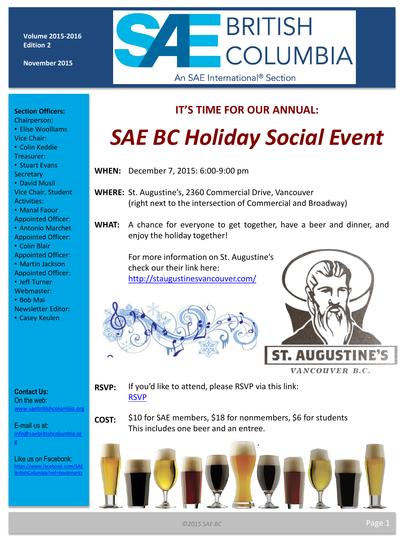**Volume 2015-2016 Edition 2**

**November 2015**



#### **Section Officers:**

Chairperson: • Elise Woolliams

- Vice Chair: • Colin Keddie
- Treasurer:

• Stuart Evans

**Secretary** • David Musil

Vice Chair, Student Activities:

• Manal Faour

Appointed Officer:

• Antonio Marchet Appointed Officer:

• Colin Blair

Appointed Officer:

- Martin Jackson
- Appointed Officer:
- Jeff Turner
- Webmaster:
- Bob Mai
- Newsletter Editor:
- Casey Keulen

#### **Contact Us:**

On the web: [www.saebritishcolumbia.org](http://www.saebritishcolumbia.org)

E-mail us at: [info@saebritishcolumbia.or](mailto:info@saebritishcolumbia.org) [g](mailto:info@saebritishcolumbia.org)

Like us on Facebook: [https://www.facebook.com/SAE](https://www.facebook.com/SAEBritishColumbia?ref=bookmarks) [BritishColumbia?ref=bookmarks](https://www.facebook.com/SAEBritishColumbia?ref=bookmarks)

### **IT'S TIME FOR OUR ANNUAL:**

# *SAE BC Holiday Social Event*

**WHEN:** December 7, 2015: 6:00-9:00 pm

- **WHERE:** St. Augustine's, 2360 Commercial Drive, Vancouver (right next to the intersection of Commercial and Broadway)
- **WHAT:** A chance for everyone to get together, have a beer and dinner, and enjoy the holiday together!

For more information on St. Augustine's check our their link here: <http://staugustinesvancouver.com/>





**RSVP:** If you'd like to attend, please RSVP via this link: [RSVP](http://goo.gl/forms/s5JvLjTRTq)

**COST:** \$10 for SAE members, \$18 for nonmembers, \$6 for students This includes one beer and an entree.

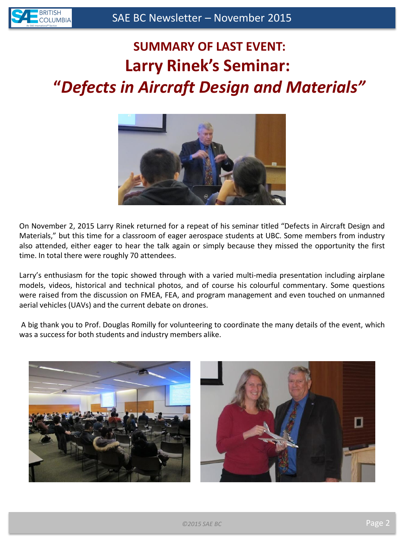## **SUMMARY OF LAST EVENT: Larry Rinek's Seminar: "***Defects in Aircraft Design and Materials"*



On November 2, 2015 Larry Rinek returned for a repeat of his seminar titled "Defects in Aircraft Design and Materials," but this time for a classroom of eager aerospace students at UBC. Some members from industry also attended, either eager to hear the talk again or simply because they missed the opportunity the first time. In total there were roughly 70 attendees.

Larry's enthusiasm for the topic showed through with a varied multi-media presentation including airplane models, videos, historical and technical photos, and of course his colourful commentary. Some questions were raised from the discussion on FMEA, FEA, and program management and even touched on unmanned aerial vehicles (UAVs) and the current debate on drones.

A big thank you to Prof. Douglas Romilly for volunteering to coordinate the many details of the event, which was a success for both students and industry members alike.



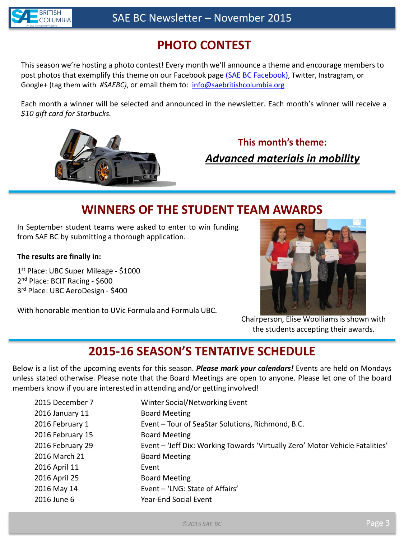

### **PHOTO CONTEST**

This season we're hosting a photo contest! Every month we'll announce a theme and encourage members to post photos that exemplify this theme on our Facebook page [\(SAE BC Facebook\)](https://www.facebook.com/SAEBritishColumbia?ref=bookmarks), Twitter, Instragram, or Google+ (tag them with *#SAEBC)*, or email them to: [info@saebritishcolumbia.org](mailto:info@saebritishcolumbia.org)

Each month a winner will be selected and announced in the newsletter. Each month's winner will receive a *\$10 gift card for Starbucks.*



### *Advanced materials in mobility* **This month's theme:**

### **WINNERS OF THE STUDENT TEAM AWARDS**

In September student teams were asked to enter to win funding from SAE BC by submitting a thorough application.

#### **The results are finally in:**

1 st Place: UBC Super Mileage - \$1000 2<sup>nd</sup> Place: BCIT Racing - \$600 3 rd Place: UBC AeroDesign - \$400

With honorable mention to UVic Formula and Formula UBC.



Chairperson, Elise Woolliams is shown with the students accepting their awards.

### **2015-16 SEASON'S TENTATIVE SCHEDULE**

Below is a list of the upcoming events for this season. *Please mark your calendars!* Events are held on Mondays unless stated otherwise. Please note that the Board Meetings are open to anyone. Please let one of the board members know if you are interested in attending and/or getting involved!

| 2015 December 7  | Winter Social/Networking Event                                                |
|------------------|-------------------------------------------------------------------------------|
| 2016 January 11  | <b>Board Meeting</b>                                                          |
| 2016 February 1  | Event – Tour of SeaStar Solutions, Richmond, B.C.                             |
| 2016 February 15 | <b>Board Meeting</b>                                                          |
| 2016 February 29 | Event - 'Jeff Dix: Working Towards 'Virtually Zero' Motor Vehicle Fatalities' |
| 2016 March 21    | <b>Board Meeting</b>                                                          |
| 2016 April 11    | Event                                                                         |
| 2016 April 25    | <b>Board Meeting</b>                                                          |
| 2016 May 14      | Event - 'LNG: State of Affairs'                                               |
| 2016 June 6      | Year-End Social Event                                                         |
|                  |                                                                               |